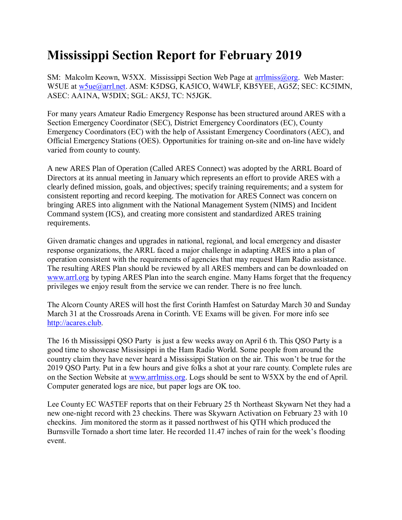## **Mississippi Section Report for February 2019**

SM: Malcolm Keown, W5XX. Mississippi Section Web Page at [arrlmiss@org.](mailto:arrlmiss@org) Web Master: W5UE at [w5ue@arrl.net.](mailto:w5ue@arrl.net) ASM: K5DSG, KA5ICO, W4WLF, KB5YEE, AG5Z; SEC: KC5IMN, ASEC: AA1NA, W5DIX; SGL: AK5J, TC: N5JGK.

For many years Amateur Radio Emergency Response has been structured around ARES with a Section Emergency Coordinator (SEC), District Emergency Coordinators (EC), County Emergency Coordinators (EC) with the help of Assistant Emergency Coordinators (AEC), and Official Emergency Stations (OES). Opportunities for training on-site and on-line have widely varied from county to county.

A new ARES Plan of Operation (Called ARES Connect) was adopted by the ARRL Board of Directors at its annual meeting in January which represents an effort to provide ARES with a clearly defined mission, goals, and objectives; specify training requirements; and a system for consistent reporting and record keeping. The motivation for ARES Connect was concern on bringing ARES into alignment with the National Management System (NIMS) and Incident Command system (ICS), and creating more consistent and standardized ARES training requirements.

Given dramatic changes and upgrades in national, regional, and local emergency and disaster response organizations, the ARRL faced a major challenge in adapting ARES into a plan of operation consistent with the requirements of agencies that may request Ham Radio assistance. The resulting ARES Plan should be reviewed by all ARES members and can be downloaded on [www.arrl.org](http://www.arrl.org/) by typing ARES Plan into the search engine. Many Hams forget that the frequency privileges we enjoy result from the service we can render. There is no free lunch.

The Alcorn County ARES will host the first Corinth Hamfest on Saturday March 30 and Sunday March 31 at the Crossroads Arena in Corinth. VE Exams will be given. For more info see [http://acares.club.](http://acares.club/)

The 16 th Mississippi QSO Party is just a few weeks away on April 6 th. This QSO Party is a good time to showcase Mississippi in the Ham Radio World. Some people from around the country claim they have never heard a Mississippi Station on the air. This won't be true for the 2019 QSO Party. Put in a few hours and give folks a shot at your rare county. Complete rules are on the Section Website at [www.arrlmiss.org.](http://www.arrlmiss.org/) Logs should be sent to W5XX by the end of April. Computer generated logs are nice, but paper logs are OK too.

Lee County EC WA5TEF reports that on their February 25 th Northeast Skywarn Net they had a new one-night record with 23 checkins. There was Skywarn Activation on February 23 with 10 checkins. Jim monitored the storm as it passed northwest of his QTH which produced the Burnsville Tornado a short time later. He recorded 11.47 inches of rain for the week's flooding event.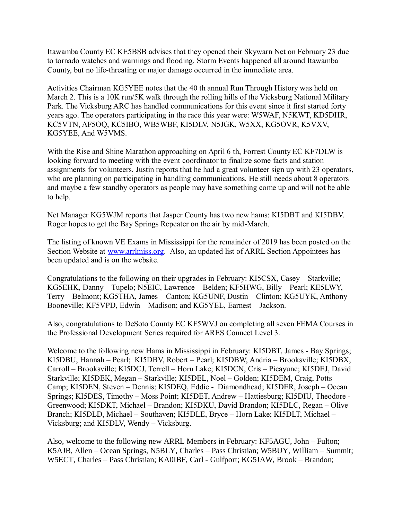Itawamba County EC KE5BSB advises that they opened their Skywarn Net on February 23 due to tornado watches and warnings and flooding. Storm Events happened all around Itawamba County, but no life-threating or major damage occurred in the immediate area.

Activities Chairman KG5YEE notes that the 40 th annual Run Through History was held on March 2. This is a 10K run/5K walk through the rolling hills of the Vicksburg National Military Park. The Vicksburg ARC has handled communications for this event since it first started forty years ago. The operators participating in the race this year were: W5WAF, N5KWT, KD5DHR, KC5VTN, AF5OQ, KC5IBO, WB5WBF, KI5DLV, N5JGK, W5XX, KG5OVR, K5VXV, KG5YEE, And W5VMS.

With the Rise and Shine Marathon approaching on April 6 th, Forrest County EC KF7DLW is looking forward to meeting with the event coordinator to finalize some facts and station assignments for volunteers. Justin reports that he had a great volunteer sign up with 23 operators, who are planning on participating in handling communications. He still needs about 8 operators and maybe a few standby operators as people may have something come up and will not be able to help.

Net Manager KG5WJM reports that Jasper County has two new hams: KI5DBT and KI5DBV. Roger hopes to get the Bay Springs Repeater on the air by mid-March.

The listing of known VE Exams in Mississippi for the remainder of 2019 has been posted on the Section Website at [www.arrlmiss.org.](http://www.arrlmiss.org/) Also, an updated list of ARRL Section Appointees has been updated and is on the website.

Congratulations to the following on their upgrades in February: KI5CSX, Casey – Starkville; KG5EHK, Danny – Tupelo; N5EIC, Lawrence – Belden; KF5HWG, Billy – Pearl; KE5LWY, Terry – Belmont; KG5THA, James – Canton; KG5UNF, Dustin – Clinton; KG5UYK, Anthony – Booneville; KF5VPD, Edwin – Madison; and KG5YEL, Earnest – Jackson.

Also, congratulations to DeSoto County EC KF5WVJ on completing all seven FEMA Courses in the Professional Development Series required for ARES Connect Level 3.

Welcome to the following new Hams in Mississippi in February: KI5DBT, James - Bay Springs; KI5DBU, Hannah – Pearl; KI5DBV, Robert – Pearl; KI5DBW, Andria – Brooksville; KI5DBX, Carroll – Brooksville; KI5DCJ, Terrell – Horn Lake; KI5DCN, Cris – Picayune; KI5DEJ, David Starkville; KI5DEK, Megan – Starkville; KI5DEL, Noel – Golden; KI5DEM, Craig, Potts Camp; KI5DEN, Steven – Dennis; KI5DEQ, Eddie - Diamondhead; KI5DER, Joseph – Ocean Springs; KI5DES, Timothy – Moss Point; KI5DET, Andrew – Hattiesburg; KI5DIU, Theodore - Greenwood; KI5DKT, Michael – Brandon; KI5DKU, David Brandon; KI5DLC, Regan – Olive Branch; KI5DLD, Michael – Southaven; KI5DLE, Bryce – Horn Lake; KI5DLT, Michael – Vicksburg; and KI5DLV, Wendy – Vicksburg.

Also, welcome to the following new ARRL Members in February: KF5AGU, John – Fulton; K5AJB, Allen – Ocean Springs, N5BLY, Charles – Pass Christian; W5BUY, William – Summit; W5ECT, Charles – Pass Christian; KA0IBF, Carl - Gulfport; KG5JAW, Brook – Brandon;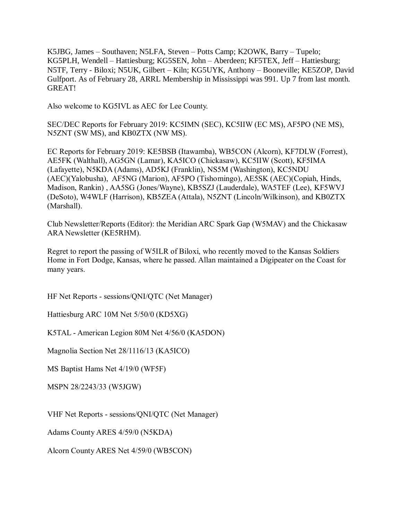K5JBG, James – Southaven; N5LFA, Steven – Potts Camp; K2OWK, Barry – Tupelo; KG5PLH, Wendell – Hattiesburg; KG5SEN, John – Aberdeen; KF5TEX, Jeff – Hattiesburg; N5TF, Terry - Biloxi; N5UK, Gilbert – Kiln; KG5UYK, Anthony – Booneville; KE5ZOP, David Gulfport. As of February 28, ARRL Membership in Mississippi was 991. Up 7 from last month. GREAT!

Also welcome to KG5IVL as AEC for Lee County.

SEC/DEC Reports for February 2019: KC5IMN (SEC), KC5IIW (EC MS), AF5PO (NE MS), N5ZNT (SW MS), and KB0ZTX (NW MS).

EC Reports for February 2019: KE5BSB (Itawamba), WB5CON (Alcorn), KF7DLW (Forrest), AE5FK (Walthall), AG5GN (Lamar), KA5ICO (Chickasaw), KC5IIW (Scott), KF5IMA (Lafayette), N5KDA (Adams), AD5KJ (Franklin), NS5M (Washington), KC5NDU (AEC)(Yalobusha), AF5NG (Marion), AF5PO (Tishomingo), AE5SK (AEC)(Copiah, Hinds, Madison, Rankin) , AA5SG (Jones/Wayne), KB5SZJ (Lauderdale), WA5TEF (Lee), KF5WVJ (DeSoto), W4WLF (Harrison), KB5ZEA (Attala), N5ZNT (Lincoln/Wilkinson), and KB0ZTX (Marshall).

Club Newsletter/Reports (Editor): the Meridian ARC Spark Gap (W5MAV) and the Chickasaw ARA Newsletter (KE5RHM).

Regret to report the passing of W5ILR of Biloxi, who recently moved to the Kansas Soldiers Home in Fort Dodge, Kansas, where he passed. Allan maintained a Digipeater on the Coast for many years.

HF Net Reports - sessions/QNI/QTC (Net Manager)

Hattiesburg ARC 10M Net 5/50/0 (KD5XG)

K5TAL - American Legion 80M Net 4/56/0 (KA5DON)

Magnolia Section Net 28/1116/13 (KA5ICO)

MS Baptist Hams Net 4/19/0 (WF5F)

MSPN 28/2243/33 (W5JGW)

VHF Net Reports - sessions/QNI/QTC (Net Manager)

Adams County ARES 4/59/0 (N5KDA)

Alcorn County ARES Net 4/59/0 (WB5CON)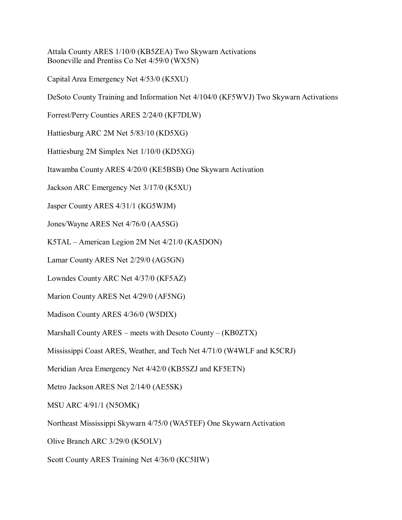Attala County ARES 1/10/0 (KB5ZEA) Two Skywarn Activations Booneville and Prentiss Co Net 4/59/0 (WX5N)

Capital Area Emergency Net 4/53/0 (K5XU)

DeSoto County Training and Information Net 4/104/0 (KF5WVJ) Two Skywarn Activations

Forrest/Perry Counties ARES 2/24/0 (KF7DLW)

Hattiesburg ARC 2M Net 5/83/10 (KD5XG)

Hattiesburg 2M Simplex Net 1/10/0 (KD5XG)

Itawamba County ARES 4/20/0 (KE5BSB) One Skywarn Activation

Jackson ARC Emergency Net 3/17/0 (K5XU)

Jasper County ARES 4/31/1 (KG5WJM)

Jones/Wayne ARES Net 4/76/0 (AA5SG)

K5TAL – American Legion 2M Net 4/21/0 (KA5DON)

Lamar County ARES Net 2/29/0 (AG5GN)

Lowndes County ARC Net 4/37/0 (KF5AZ)

Marion County ARES Net 4/29/0 (AF5NG)

Madison County ARES 4/36/0 (W5DIX)

Marshall County ARES – meets with Desoto County – (KB0ZTX)

Mississippi Coast ARES, Weather, and Tech Net 4/71/0 (W4WLF and K5CRJ)

Meridian Area Emergency Net 4/42/0 (KB5SZJ and KF5ETN)

Metro Jackson ARES Net 2/14/0 (AE5SK)

MSU ARC 4/91/1 (N5OMK)

Northeast Mississippi Skywarn 4/75/0 (WA5TEF) One Skywarn Activation

Olive Branch ARC 3/29/0 (K5OLV)

Scott County ARES Training Net 4/36/0 (KC5IIW)